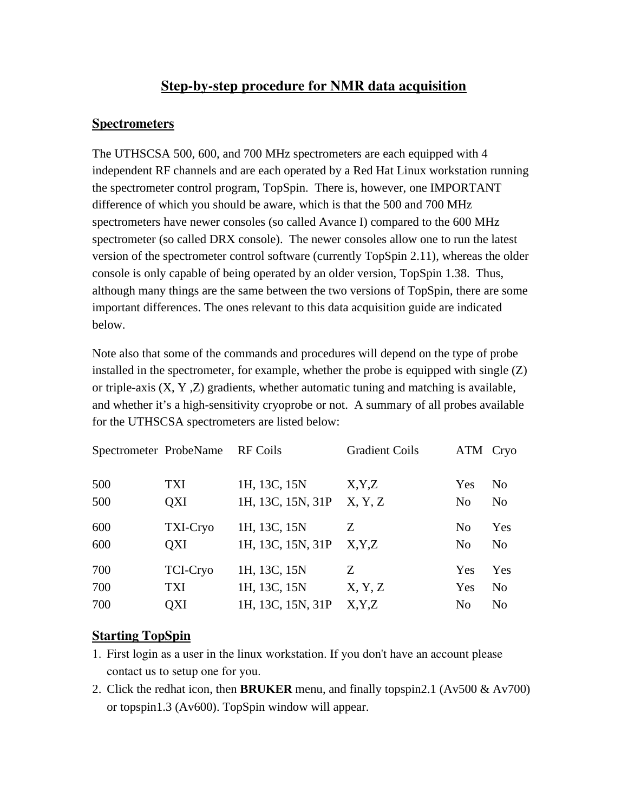# Step-by-step procedure for NMR data acquisition

## **Spectrometers**

The UTHSCSA 500, 600, and 700 MHz spectrometers are each equipped with 4 independent RF channels and are each operated by a Red Hat Linux workstation running the spectrometer control program, TopSpin. There is, however, one IMPORTANT difference of which you should be aware, which is that the 500 and 700 MHz spectrometers have newer consoles (so called Avance I) compared to the 600 MHz spectrometer (so called DRX console). The newer consoles allow one to run the latest version of the spectrometer control software (currently TopSpin 2.11), whereas the older console is only capable of being operated by an older version, TopSpin 1.38. Thus, although many things are the same between the two versions of TopSpin, there are some important differences. The ones relevant to this data acquisition guide are indicated below.

Note also that some of the commands and procedures will depend on the type of probe installed in the spectrometer, for example, whether the probe is equipped with single  $(Z)$ or triple-axis (X, Y ,Z) gradients, whether automatic tuning and matching is available, and whether it's a high-sensitivity cryoprobe or not. A summary of all probes available for the UTHSCSA spectrometers are listed below:

| Spectrometer ProbeName |                 | <b>RF</b> Coils   | <b>Gradient Coils</b> | ATM Cryo       |                |
|------------------------|-----------------|-------------------|-----------------------|----------------|----------------|
| 500                    | TXI             | 1H, 13C, 15N      | X, Y, Z               | Yes            | N <sub>0</sub> |
| 500                    | <b>OXI</b>      | 1H, 13C, 15N, 31P | X, Y, Z               | N <sub>0</sub> | N <sub>0</sub> |
| 600                    | TXI-Cryo        | 1H, 13C, 15N      | Z                     | N <sub>0</sub> | Yes            |
| 600                    | <b>OXI</b>      | 1H, 13C, 15N, 31P | X, Y, Z               | N <sub>0</sub> | N <sub>o</sub> |
| 700                    | <b>TCI-Cryo</b> | 1H, 13C, 15N      | Ζ                     | Yes            | Yes            |
| 700                    | <b>TXI</b>      | 1H, 13C, 15N      | X, Y, Z               | Yes            | N <sub>o</sub> |
| 700                    | OXI             | 1H, 13C, 15N, 31P | X, Y, Z               | N <sub>0</sub> | N <sub>0</sub> |

## Starting TopSpin

- 1. First login as a user in the linux workstation. If you don't have an account please contact us to setup one for you.
- 2. Click the redhat icon, then **BRUKER** menu, and finally topspin2.1 (Av500 & Av700) or topspin1.3 (Av600). TopSpin window will appear.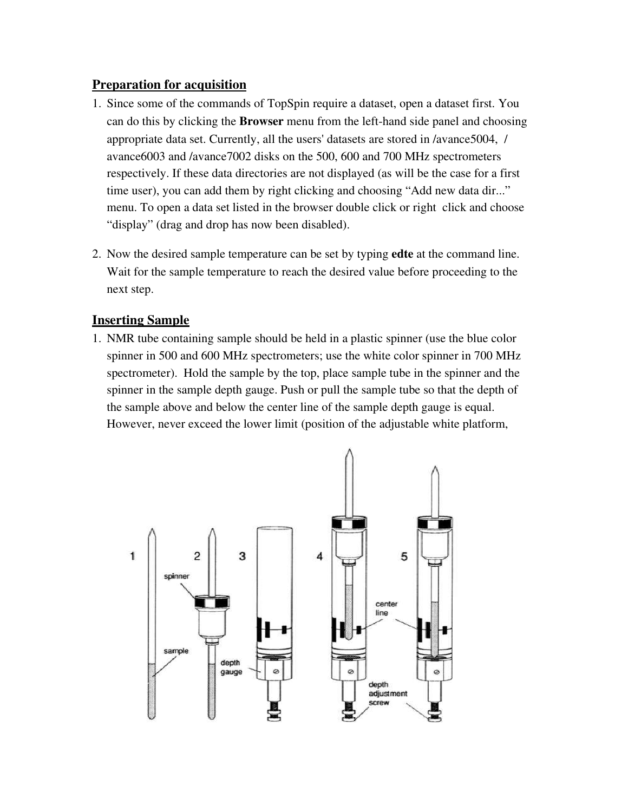## Preparation for acquisition

- 1. Since some of the commands of TopSpin require a dataset, open a dataset first. You can do this by clicking the **Browser** menu from the left-hand side panel and choosing appropriate data set. Currently, all the users' datasets are stored in /avance5004, / avance6003 and /avance7002 disks on the 500, 600 and 700 MHz spectrometers respectively. If these data directories are not displayed (as will be the case for a first time user), you can add them by right clicking and choosing "Add new data dir..." menu. To open a data set listed in the browser double click or right click and choose "display" (drag and drop has now been disabled).
- 2. Now the desired sample temperature can be set by typing edte at the command line. Wait for the sample temperature to reach the desired value before proceeding to the next step.

## Inserting Sample

1. NMR tube containing sample should be held in a plastic spinner (use the blue color spinner in 500 and 600 MHz spectrometers; use the white color spinner in 700 MHz spectrometer). Hold the sample by the top, place sample tube in the spinner and the spinner in the sample depth gauge. Push or pull the sample tube so that the depth of the sample above and below the center line of the sample depth gauge is equal. However, never exceed the lower limit (position of the adjustable white platform,

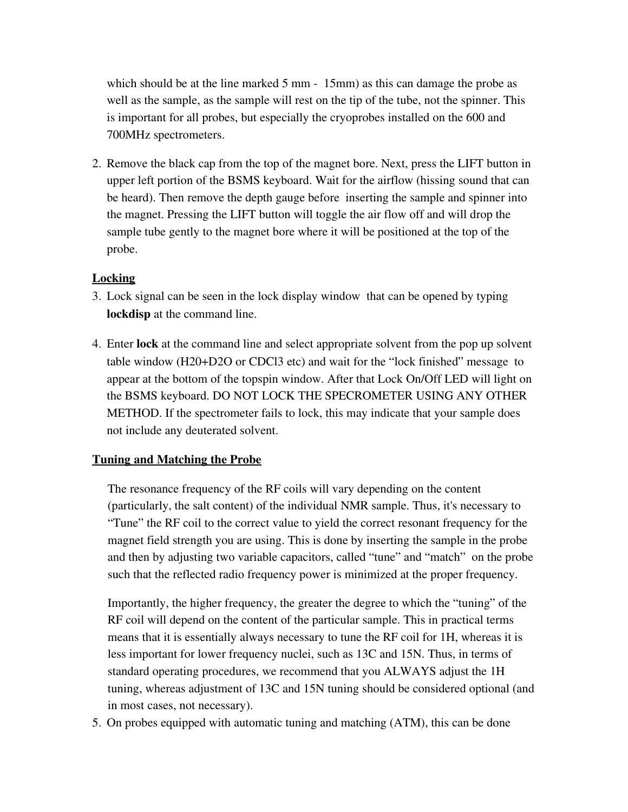which should be at the line marked 5 mm - 15mm) as this can damage the probe as well as the sample, as the sample will rest on the tip of the tube, not the spinner. This is important for all probes, but especially the cryoprobes installed on the 600 and 700MHz spectrometers.

2. Remove the black cap from the top of the magnet bore. Next, press the LIFT button in upper left portion of the BSMS keyboard. Wait for the airflow (hissing sound that can be heard). Then remove the depth gauge before inserting the sample and spinner into the magnet. Pressing the LIFT button will toggle the air flow off and will drop the sample tube gently to the magnet bore where it will be positioned at the top of the probe.

### **Locking**

- 3. Lock signal can be seen in the lock display window that can be opened by typing lockdisp at the command line.
- 4. Enter lock at the command line and select appropriate solvent from the pop up solvent table window (H20+D2O or CDCl3 etc) and wait for the "lock finished" message to appear at the bottom of the topspin window. After that Lock On/Off LED will light on the BSMS keyboard. DO NOT LOCK THE SPECROMETER USING ANY OTHER METHOD. If the spectrometer fails to lock, this may indicate that your sample does not include any deuterated solvent.

#### Tuning and Matching the Probe

The resonance frequency of the RF coils will vary depending on the content (particularly, the salt content) of the individual NMR sample. Thus, it's necessary to "Tune" the RF coil to the correct value to yield the correct resonant frequency for the magnet field strength you are using. This is done by inserting the sample in the probe and then by adjusting two variable capacitors, called "tune" and "match" on the probe such that the reflected radio frequency power is minimized at the proper frequency.

Importantly, the higher frequency, the greater the degree to which the "tuning" of the RF coil will depend on the content of the particular sample. This in practical terms means that it is essentially always necessary to tune the RF coil for 1H, whereas it is less important for lower frequency nuclei, such as 13C and 15N. Thus, in terms of standard operating procedures, we recommend that you ALWAYS adjust the 1H tuning, whereas adjustment of 13C and 15N tuning should be considered optional (and in most cases, not necessary).

5. On probes equipped with automatic tuning and matching (ATM), this can be done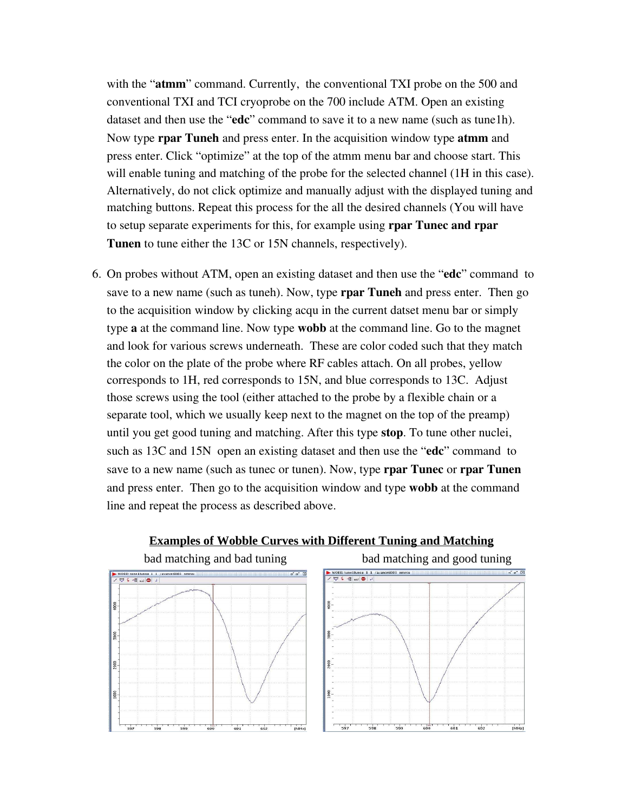with the "atmm" command. Currently, the conventional TXI probe on the 500 and conventional TXI and TCI cryoprobe on the 700 include ATM. Open an existing dataset and then use the "edc" command to save it to a new name (such as tune1h). Now type **rpar Tuneh** and press enter. In the acquisition window type **atmm** and press enter. Click "optimize" at the top of the atmm menu bar and choose start. This will enable tuning and matching of the probe for the selected channel (1H in this case). Alternatively, do not click optimize and manually adjust with the displayed tuning and matching buttons. Repeat this process for the all the desired channels (You will have to setup separate experiments for this, for example using rpar Tunec and rpar Tunen to tune either the 13C or 15N channels, respectively).

6. On probes without ATM, open an existing dataset and then use the "edc" command to save to a new name (such as tuneh). Now, type **rpar Tuneh** and press enter. Then go to the acquisition window by clicking acqu in the current datset menu bar or simply type a at the command line. Now type wobb at the command line. Go to the magnet and look for various screws underneath. These are color coded such that they match the color on the plate of the probe where RF cables attach. On all probes, yellow corresponds to 1H, red corresponds to 15N, and blue corresponds to 13C. Adjust those screws using the tool (either attached to the probe by a flexible chain or a separate tool, which we usually keep next to the magnet on the top of the preamp) until you get good tuning and matching. After this type stop. To tune other nuclei, such as 13C and 15N open an existing dataset and then use the "edc" command to save to a new name (such as tunec or tunen). Now, type **rpar Tunec** or **rpar Tunen** and press enter. Then go to the acquisition window and type wobb at the command line and repeat the process as described above.



#### **Examples of Wobble Curves with Different Tuning and Matching**



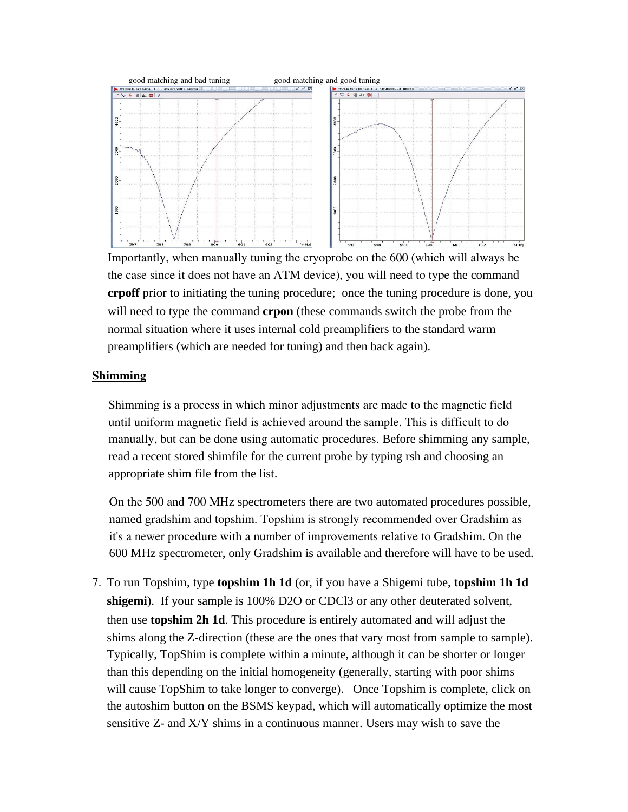

Importantly, when manually tuning the cryoprobe on the 600 (which will always be the case since it does not have an ATM device), you will need to type the command **crpoff** prior to initiating the tuning procedure; once the tuning procedure is done, you will need to type the command **crpon** (these commands switch the probe from the normal situation where it uses internal cold preamplifiers to the standard warm preamplifiers (which are needed for tuning) and then back again).

#### Shimming

Shimming is a process in which minor adjustments are made to the magnetic field until uniform magnetic field is achieved around the sample. This is difficult to do manually, but can be done using automatic procedures. Before shimming any sample, read a recent stored shimfile for the current probe by typing rsh and choosing an appropriate shim file from the list.

On the 500 and 700 MHz spectrometers there are two automated procedures possible, named gradshim and topshim. Topshim is strongly recommended over Gradshim as it's a newer procedure with a number of improvements relative to Gradshim. On the 600 MHz spectrometer, only Gradshim is available and therefore will have to be used.

7. To run Topshim, type **topshim 1h 1d** (or, if you have a Shigemi tube, **topshim 1h 1d shigemi**). If your sample is 100% D2O or CDCl3 or any other deuterated solvent, then use **topshim 2h 1d**. This procedure is entirely automated and will adjust the shims along the Z-direction (these are the ones that vary most from sample to sample). Typically, TopShim is complete within a minute, although it can be shorter or longer than this depending on the initial homogeneity (generally, starting with poor shims will cause TopShim to take longer to converge). Once Topshim is complete, click on the autoshim button on the BSMS keypad, which will automatically optimize the most sensitive Z- and X/Y shims in a continuous manner. Users may wish to save the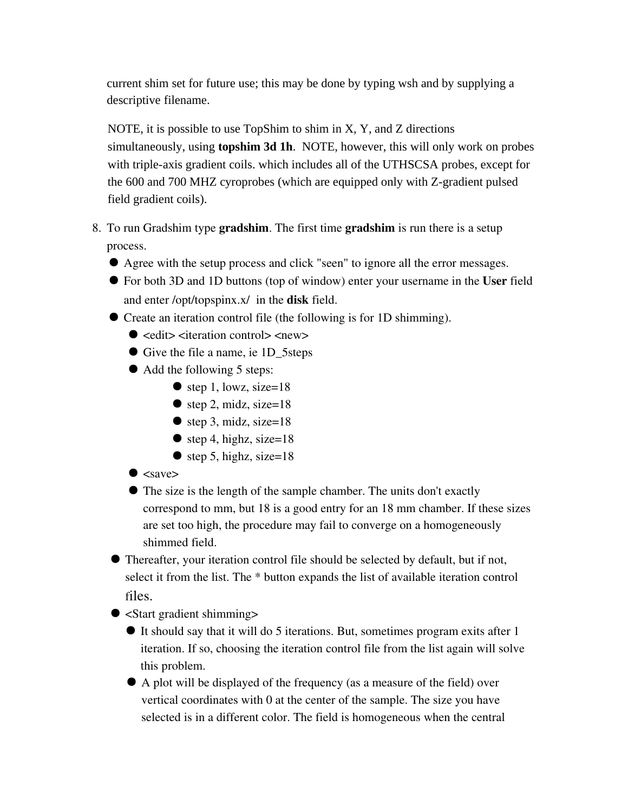current shim set for future use; this may be done by typing wsh and by supplying a descriptive filename.

NOTE, it is possible to use TopShim to shim in X, Y, and Z directions simultaneously, using **topshim 3d 1h**. NOTE, however, this will only work on probes with triple-axis gradient coils. which includes all of the UTHSCSA probes, except for the 600 and 700 MHZ cyroprobes (which are equipped only with Z-gradient pulsed field gradient coils).

- 8. To run Gradshim type gradshim. The first time gradshim is run there is a setup process.
	- Agree with the setup process and click "seen" to ignore all the error messages.
	- For both 3D and 1D buttons (top of window) enter your username in the User field and enter /opt/topspinx.x/ in the disk field.
	- Create an iteration control file (the following is for 1D shimming).
		- $\bullet$  <edit> <iteration control> <new>
		- Give the file a name, ie 1D\_5steps
		- Add the following 5 steps:
			- $\bullet$  step 1, lowz, size=18
			- $\bullet$  step 2, midz, size=18
			- step 3, midz, size= $18$
			- $\bullet$  step 4, highz, size=18
			- $\bullet$  step 5, highz, size=18
		- $\bullet$  <save>
		- The size is the length of the sample chamber. The units don't exactly correspond to mm, but 18 is a good entry for an 18 mm chamber. If these sizes are set too high, the procedure may fail to converge on a homogeneously shimmed field.
	- Thereafter, your iteration control file should be selected by default, but if not, select it from the list. The \* button expands the list of available iteration control files.

● <Start gradient shimming>

- It should say that it will do 5 iterations. But, sometimes program exits after 1 iteration. If so, choosing the iteration control file from the list again will solve this problem.
- A plot will be displayed of the frequency (as a measure of the field) over vertical coordinates with 0 at the center of the sample. The size you have selected is in a different color. The field is homogeneous when the central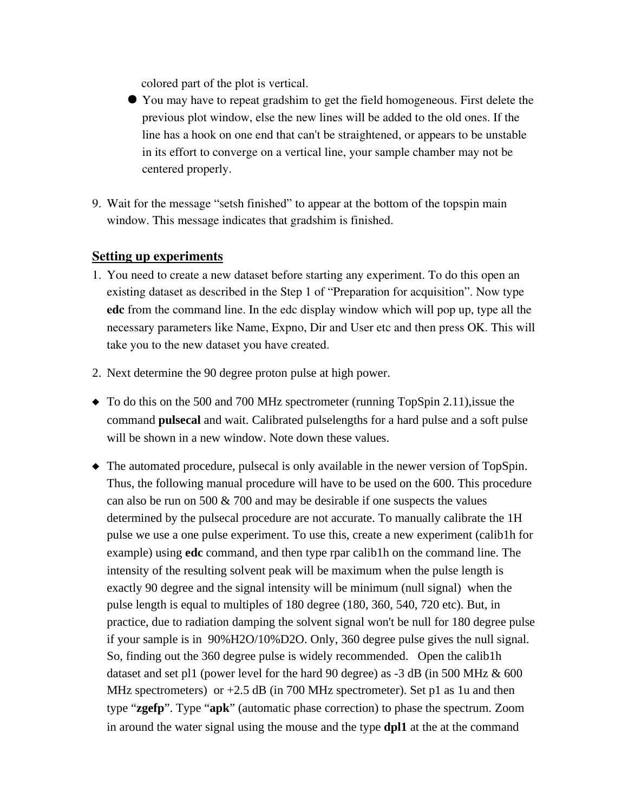colored part of the plot is vertical.

- You may have to repeat gradshim to get the field homogeneous. First delete the previous plot window, else the new lines will be added to the old ones. If the line has a hook on one end that can't be straightened, or appears to be unstable in its effort to converge on a vertical line, your sample chamber may not be centered properly.
- 9. Wait for the message "setsh finished" to appear at the bottom of the topspin main window. This message indicates that gradshim is finished.

#### Setting up experiments

- 1. You need to create a new dataset before starting any experiment. To do this open an existing dataset as described in the Step 1 of "Preparation for acquisition". Now type edc from the command line. In the edc display window which will pop up, type all the necessary parameters like Name, Expno, Dir and User etc and then press OK. This will take you to the new dataset you have created.
- 2. Next determine the 90 degree proton pulse at high power.
- $\blacklozenge$  To do this on the 500 and 700 MHz spectrometer (running TopSpin 2.11), issue the command **pulsecal** and wait. Calibrated pulselengths for a hard pulse and a soft pulse will be shown in a new window. Note down these values.
- The automated procedure, pulsecal is only available in the newer version of TopSpin. Thus, the following manual procedure will have to be used on the 600. This procedure can also be run on 500 & 700 and may be desirable if one suspects the values determined by the pulsecal procedure are not accurate. To manually calibrate the 1H pulse we use a one pulse experiment. To use this, create a new experiment (calib1h for example) using **edc** command, and then type rpar calib1h on the command line. The intensity of the resulting solvent peak will be maximum when the pulse length is exactly 90 degree and the signal intensity will be minimum (null signal) when the pulse length is equal to multiples of 180 degree (180, 360, 540, 720 etc). But, in practice, due to radiation damping the solvent signal won't be null for 180 degree pulse if your sample is in 90%H2O/10%D2O. Only, 360 degree pulse gives the null signal. So, finding out the 360 degree pulse is widely recommended. Open the calib1h dataset and set pl1 (power level for the hard 90 degree) as  $-3$  dB (in 500 MHz  $\&$  600 MHz spectrometers) or  $+2.5$  dB (in 700 MHz spectrometer). Set p1 as 1u and then type "**zgefp**". Type "**apk**" (automatic phase correction) to phase the spectrum. Zoom in around the water signal using the mouse and the type **dpl1** at the at the command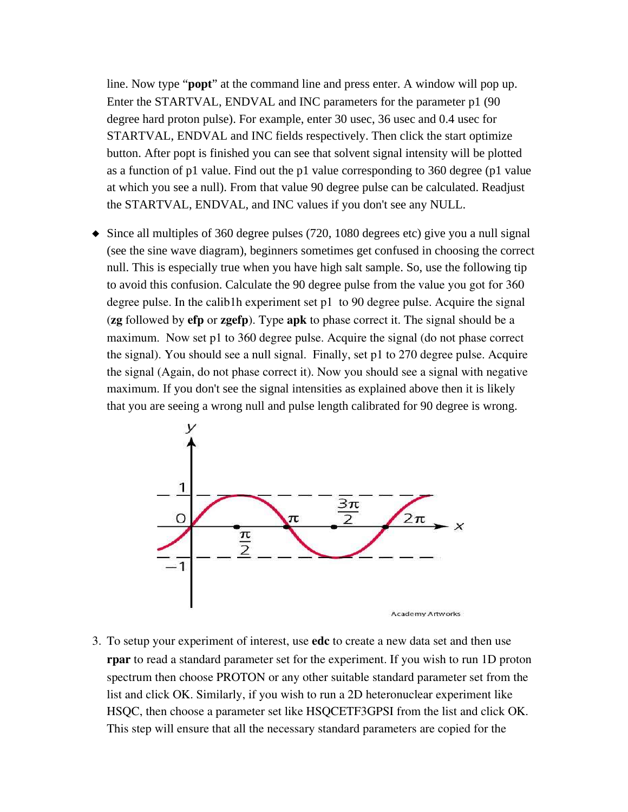line. Now type "**popt**" at the command line and press enter. A window will pop up. Enter the STARTVAL, ENDVAL and INC parameters for the parameter p1 (90 degree hard proton pulse). For example, enter 30 usec, 36 usec and 0.4 usec for STARTVAL, ENDVAL and INC fields respectively. Then click the start optimize button. After popt is finished you can see that solvent signal intensity will be plotted as a function of p1 value. Find out the p1 value corresponding to 360 degree (p1 value at which you see a null). From that value 90 degree pulse can be calculated. Readjust the STARTVAL, ENDVAL, and INC values if you don't see any NULL.

 $\blacklozenge$  Since all multiples of 360 degree pulses (720, 1080 degrees etc) give you a null signal (see the sine wave diagram), beginners sometimes get confused in choosing the correct null. This is especially true when you have high salt sample. So, use the following tip to avoid this confusion. Calculate the 90 degree pulse from the value you got for 360 degree pulse. In the calib1h experiment set p1 to 90 degree pulse. Acquire the signal (zg followed by efp or zgefp). Type apk to phase correct it. The signal should be a maximum. Now set p1 to 360 degree pulse. Acquire the signal (do not phase correct the signal). You should see a null signal. Finally, set p1 to 270 degree pulse. Acquire the signal (Again, do not phase correct it). Now you should see a signal with negative maximum. If you don't see the signal intensities as explained above then it is likely that you are seeing a wrong null and pulse length calibrated for 90 degree is wrong.



3. To setup your experiment of interest, use **edc** to create a new data set and then use rpar to read a standard parameter set for the experiment. If you wish to run 1D proton spectrum then choose PROTON or any other suitable standard parameter set from the list and click OK. Similarly, if you wish to run a 2D heteronuclear experiment like HSQC, then choose a parameter set like HSQCETF3GPSI from the list and click OK. This step will ensure that all the necessary standard parameters are copied for the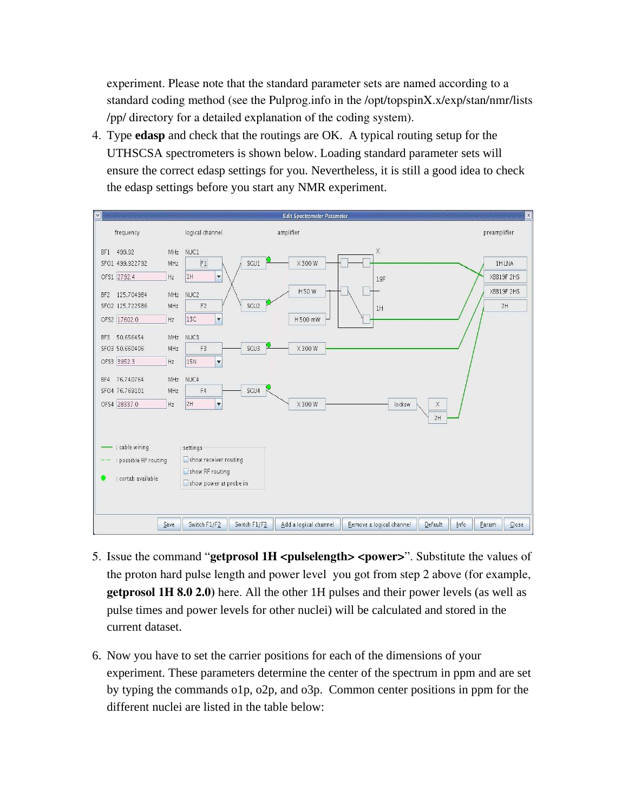experiment. Please note that the standard parameter sets are named according to a standard coding method (see the Pulprog.info in the /opt/topspinX.x/exp/stan/nmr/lists /pp/ directory for a detailed explanation of the coding system).

4. Type **edasp** and check that the routings are OK. A typical routing setup for the UTHSCSA spectrometers is shown below. Loading standard parameter sets will ensure the correct edasp settings for you. Nevertheless, it is still a good idea to check the edasp settings before you start any NMR experiment.



- 5. Issue the command "getprosol 1H <pulselength> <power>". Substitute the values of the proton hard pulse length and power level you got from step 2 above (for example, getprosol 1H 8.0 2.0) here. All the other 1H pulses and their power levels (as well as pulse times and power levels for other nuclei) will be calculated and stored in the current dataset.
- 6. Now you have to set the carrier positions for each of the dimensions of your experiment. These parameters determine the center of the spectrum in ppm and are set by typing the commands o1p, o2p, and o3p. Common center positions in ppm for the different nuclei are listed in the table below: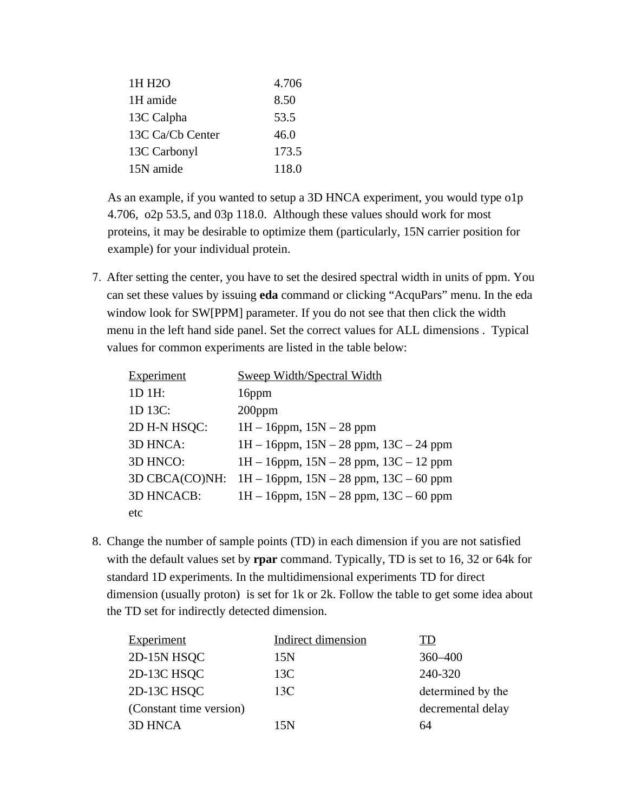| 1H H <sub>2</sub> O | 4.706 |
|---------------------|-------|
| 1H amide            | 8.50  |
| 13C Calpha          | 53.5  |
| 13C Ca/Cb Center    | 46.0  |
| 13C Carbonyl        | 173.5 |
| 15N amide           | 118.0 |

As an example, if you wanted to setup a 3D HNCA experiment, you would type o1p 4.706, o2p 53.5, and 03p 118.0. Although these values should work for most proteins, it may be desirable to optimize them (particularly, 15N carrier position for example) for your individual protein.

7. After setting the center, you have to set the desired spectral width in units of ppm. You can set these values by issuing **eda** command or clicking "AcquPars" menu. In the eda window look for SW[PPM] parameter. If you do not see that then click the width menu in the left hand side panel. Set the correct values for ALL dimensions . Typical values for common experiments are listed in the table below:

| <b>Experiment</b> | <b>Sweep Width/Spectral Width</b>             |
|-------------------|-----------------------------------------------|
| 1D 1H:            | 16ppm                                         |
| 1D 13C:           | $200$ ppm                                     |
| 2D H-N HSQC:      | $1H - 16$ ppm, $15N - 28$ ppm                 |
| 3D HNCA:          | $1H - 16$ ppm, $15N - 28$ ppm, $13C - 24$ ppm |
| 3D HNCO:          | $1H - 16$ ppm, $15N - 28$ ppm, $13C - 12$ ppm |
| 3D CBCA(CO)NH:    | $1H - 16$ ppm, $15N - 28$ ppm, $13C - 60$ ppm |
| <b>3D HNCACB:</b> | $1H - 16$ ppm, $15N - 28$ ppm, $13C - 60$ ppm |
| etc               |                                               |

8. Change the number of sample points (TD) in each dimension if you are not satisfied with the default values set by **rpar** command. Typically, TD is set to 16, 32 or 64k for standard 1D experiments. In the multidimensional experiments TD for direct dimension (usually proton) is set for 1k or 2k. Follow the table to get some idea about the TD set for indirectly detected dimension.

| Indirect dimension | TD                |
|--------------------|-------------------|
| 15N                | $360 - 400$       |
| 13C                | 240-320           |
| 13C                | determined by the |
|                    | decremental delay |
| 15N                | 64                |
|                    |                   |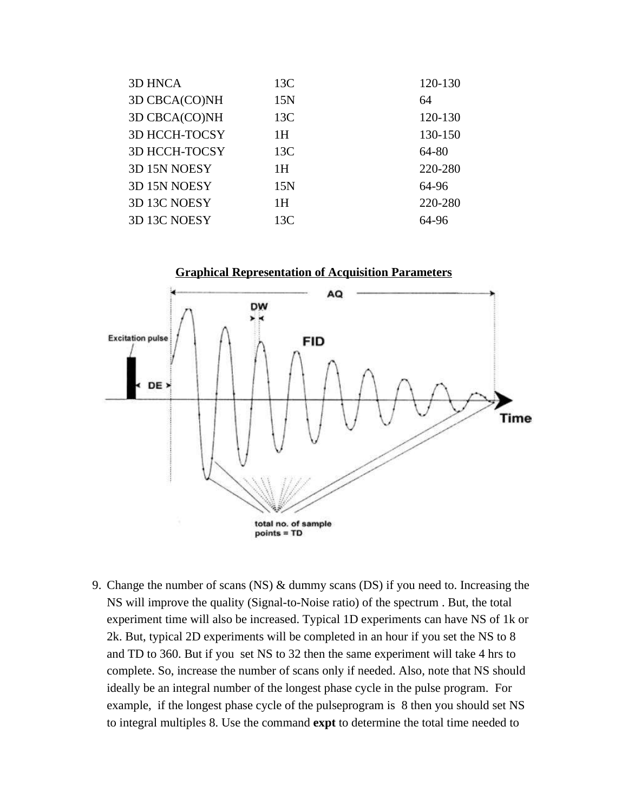| <b>3D HNCA</b>       | 13C | 120-130 |
|----------------------|-----|---------|
| 3D CBCA(CO)NH        | 15N | 64      |
| 3D CBCA(CO)NH        | 13C | 120-130 |
| <b>3D HCCH-TOCSY</b> | 1H  | 130-150 |
| <b>3D HCCH-TOCSY</b> | 13C | 64-80   |
| 3D 15N NOESY         | 1H  | 220-280 |
| 3D 15N NOESY         | 15N | 64-96   |
| 3D 13C NOESY         | 1H  | 220-280 |
| 3D 13C NOESY         | 13C | 64-96   |



9. Change the number of scans (NS) & dummy scans (DS) if you need to. Increasing the NS will improve the quality (Signal-to-Noise ratio) of the spectrum . But, the total experiment time will also be increased. Typical 1D experiments can have NS of 1k or 2k. But, typical 2D experiments will be completed in an hour if you set the NS to 8 and TD to 360. But if you set NS to 32 then the same experiment will take 4 hrs to complete. So, increase the number of scans only if needed. Also, note that NS should ideally be an integral number of the longest phase cycle in the pulse program. For example, if the longest phase cycle of the pulseprogram is 8 then you should set NS to integral multiples 8. Use the command **expt** to determine the total time needed to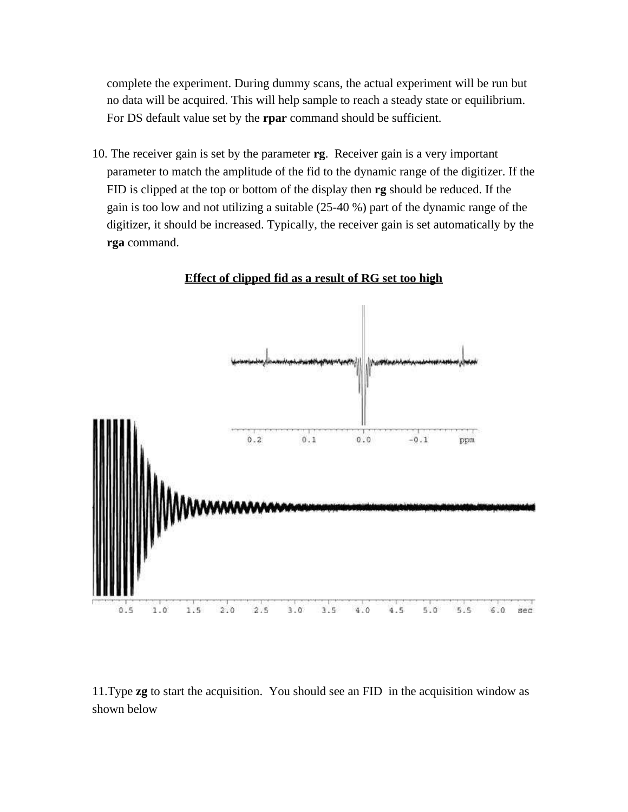complete the experiment. During dummy scans, the actual experiment will be run but no data will be acquired. This will help sample to reach a steady state or equilibrium. For DS default value set by the **rpar** command should be sufficient.

10. The receiver gain is set by the parameter **rg**. Receiver gain is a very important parameter to match the amplitude of the fid to the dynamic range of the digitizer. If the FID is clipped at the top or bottom of the display then **rg** should be reduced. If the gain is too low and not utilizing a suitable (25-40 %) part of the dynamic range of the digitizer, it should be increased. Typically, the receiver gain is set automatically by the **rga** command.



**Effect of clipped fid as a result of RG set too high**

11.Type **zg** to start the acquisition. You should see an FID in the acquisition window as shown below